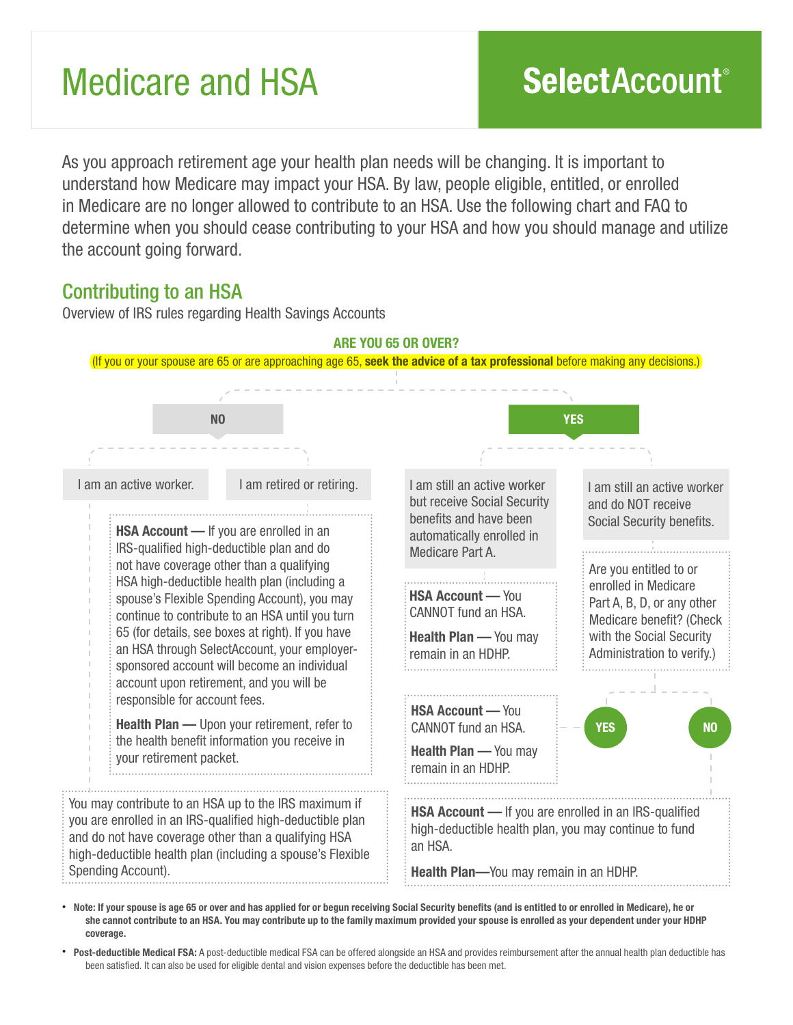# Medicare and HSA

As you approach retirement age your health plan needs will be changing. It is important to understand how Medicare may impact your HSA. By law, people eligible, entitled, or enrolled in Medicare are no longer allowed to contribute to an HSA. Use the following chart and FAQ to determine when you should cease contributing to your HSA and how you should manage and utilize the account going forward.

## Contributing to an HSA

Overview of IRS rules regarding Health Savings Accounts



• Note: If your spouse is age 65 or over and has applied for or begun receiving Social Security benefits (and is entitled to or enrolled in Medicare), he or she cannot contribute to an HSA. You may contribute up to the family maximum provided your spouse is enrolled as your dependent under your HDHP coverage.

• Post-deductible Medical FSA: A post-deductible medical FSA can be offered alongside an HSA and provides reimbursement after the annual health plan deductible has been satisfied. It can also be used for eligible dental and vision expenses before the deductible has been met.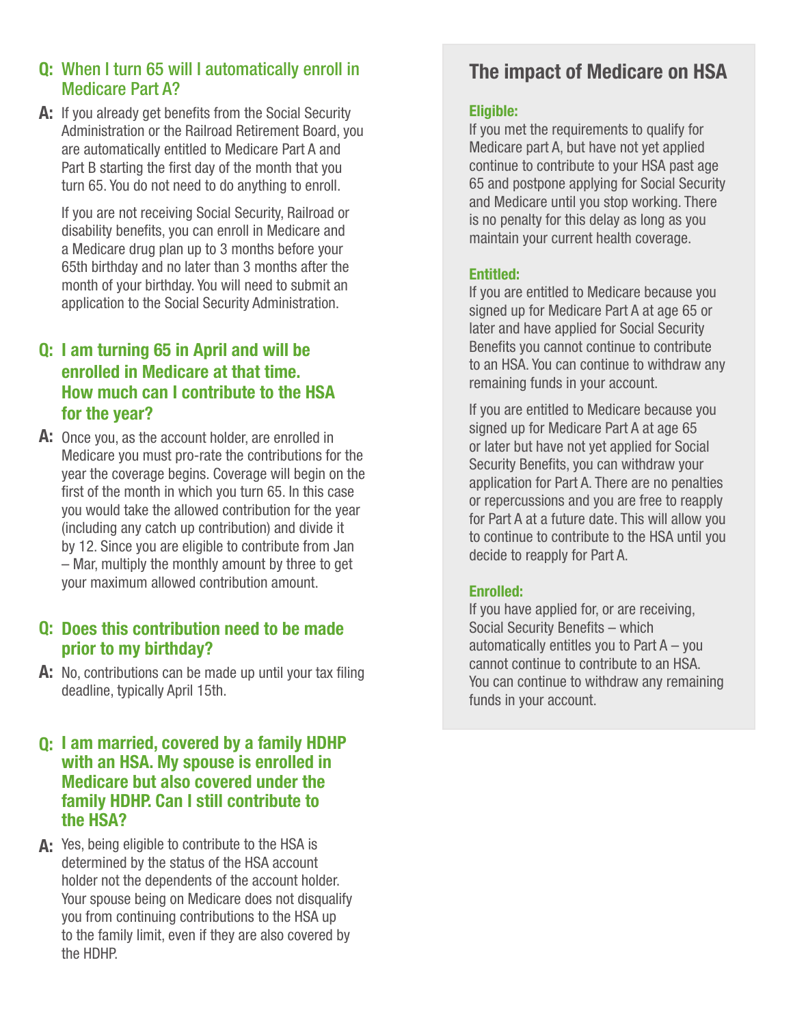## Q: When I turn 65 will I automatically enroll in Medicare Part A?

A: If you already get benefits from the Social Security Administration or the Railroad Retirement Board, you are automatically entitled to Medicare Part A and Part B starting the first day of the month that you turn 65. You do not need to do anything to enroll.

If you are not receiving Social Security, Railroad or disability benefits, you can enroll in Medicare and a Medicare drug plan up to 3 months before your 65th birthday and no later than 3 months after the month of your birthday. You will need to submit an application to the Social Security Administration.

## Q: I am turning 65 in April and will be enrolled in Medicare at that time. How much can I contribute to the HSA for the year?

A: Once you, as the account holder, are enrolled in Medicare you must pro-rate the contributions for the year the coverage begins. Coverage will begin on the first of the month in which you turn 65. In this case you would take the allowed contribution for the year (including any catch up contribution) and divide it by 12. Since you are eligible to contribute from Jan – Mar, multiply the monthly amount by three to get your maximum allowed contribution amount.

### Q: Does this contribution need to be made prior to my birthday?

A: No, contributions can be made up until your tax filing deadline, typically April 15th.

#### Q: I am married, covered by a family HDHP with an HSA. My spouse is enrolled in Medicare but also covered under the family HDHP. Can I still contribute to the HSA?

A: Yes, being eligible to contribute to the HSA is determined by the status of the HSA account holder not the dependents of the account holder. Your spouse being on Medicare does not disqualify you from continuing contributions to the HSA up to the family limit, even if they are also covered by the HDHP.

# The impact of Medicare on HSA

#### Eligible:

If you met the requirements to qualify for Medicare part A, but have not yet applied continue to contribute to your HSA past age 65 and postpone applying for Social Security and Medicare until you stop working. There is no penalty for this delay as long as you maintain your current health coverage.

#### Entitled:

If you are entitled to Medicare because you signed up for Medicare Part A at age 65 or later and have applied for Social Security Benefits you cannot continue to contribute to an HSA. You can continue to withdraw any remaining funds in your account.

If you are entitled to Medicare because you signed up for Medicare Part A at age 65 or later but have not yet applied for Social Security Benefits, you can withdraw your application for Part A. There are no penalties or repercussions and you are free to reapply for Part A at a future date. This will allow you to continue to contribute to the HSA until you decide to reapply for Part A.

#### Enrolled:

If you have applied for, or are receiving, Social Security Benefits – which automatically entitles you to Part A – you cannot continue to contribute to an HSA. You can continue to withdraw any remaining funds in your account.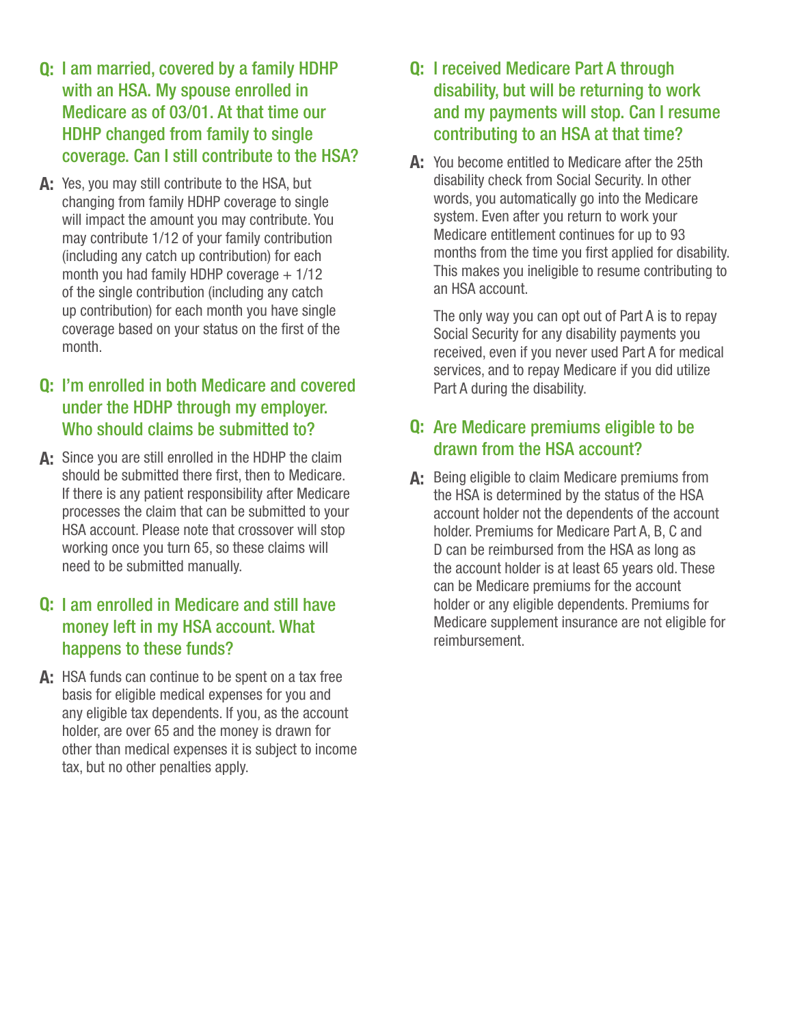- Q: I am married, covered by a family HDHP with an HSA. My spouse enrolled in Medicare as of 03/01. At that time our HDHP changed from family to single coverage. Can I still contribute to the HSA?
- A: Yes, you may still contribute to the HSA, but changing from family HDHP coverage to single will impact the amount you may contribute. You may contribute 1/12 of your family contribution (including any catch up contribution) for each month you had family HDHP coverage  $+1/12$ of the single contribution (including any catch up contribution) for each month you have single coverage based on your status on the first of the month.

## Q: I'm enrolled in both Medicare and covered under the HDHP through my employer. Who should claims be submitted to?

A: Since you are still enrolled in the HDHP the claim should be submitted there first, then to Medicare. If there is any patient responsibility after Medicare processes the claim that can be submitted to your HSA account. Please note that crossover will stop working once you turn 65, so these claims will need to be submitted manually.

## Q: I am enrolled in Medicare and still have money left in my HSA account. What happens to these funds?

A: HSA funds can continue to be spent on a tax free basis for eligible medical expenses for you and any eligible tax dependents. If you, as the account holder, are over 65 and the money is drawn for other than medical expenses it is subject to income tax, but no other penalties apply.

## Q: I received Medicare Part A through disability, but will be returning to work and my payments will stop. Can I resume contributing to an HSA at that time?

A: You become entitled to Medicare after the 25th disability check from Social Security. In other words, you automatically go into the Medicare system. Even after you return to work your Medicare entitlement continues for up to 93 months from the time you first applied for disability. This makes you ineligible to resume contributing to an HSA account.

The only way you can opt out of Part A is to repay Social Security for any disability payments you received, even if you never used Part A for medical services, and to repay Medicare if you did utilize Part A during the disability.

## Q: Are Medicare premiums eligible to be drawn from the HSA account?

A: Being eligible to claim Medicare premiums from the HSA is determined by the status of the HSA account holder not the dependents of the account holder. Premiums for Medicare Part A, B, C and D can be reimbursed from the HSA as long as the account holder is at least 65 years old. These can be Medicare premiums for the account holder or any eligible dependents. Premiums for Medicare supplement insurance are not eligible for reimbursement.